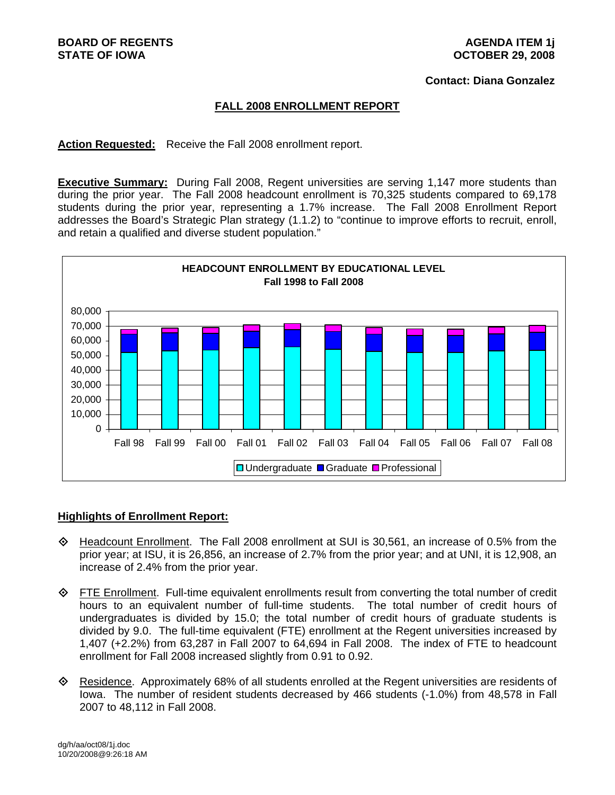#### **Contact: Diana Gonzalez**

### **FALL 2008 ENROLLMENT REPORT**

**Action Requested:** Receive the Fall 2008 enrollment report.

**Executive Summary:** During Fall 2008, Regent universities are serving 1,147 more students than during the prior year. The Fall 2008 headcount enrollment is 70,325 students compared to 69,178 students during the prior year, representing a 1.7% increase. The Fall 2008 Enrollment Report addresses the Board's Strategic Plan strategy (1.1.2) to "continue to improve efforts to recruit, enroll, and retain a qualified and diverse student population."



#### **Highlights of Enrollment Report:**

- Headcount Enrollment. The Fall 2008 enrollment at SUI is 30,561, an increase of 0.5% from the prior year; at ISU, it is 26,856, an increase of 2.7% from the prior year; and at UNI, it is 12,908, an increase of 2.4% from the prior year.
- $\diamond$  FTE Enrollment. Full-time equivalent enrollments result from converting the total number of credit hours to an equivalent number of full-time students. The total number of credit hours of undergraduates is divided by 15.0; the total number of credit hours of graduate students is divided by 9.0. The full-time equivalent (FTE) enrollment at the Regent universities increased by 1,407 (+2.2%) from 63,287 in Fall 2007 to 64,694 in Fall 2008. The index of FTE to headcount enrollment for Fall 2008 increased slightly from 0.91 to 0.92.
- Residence. Approximately 68% of all students enrolled at the Regent universities are residents of Iowa. The number of resident students decreased by 466 students (-1.0%) from 48,578 in Fall 2007 to 48,112 in Fall 2008.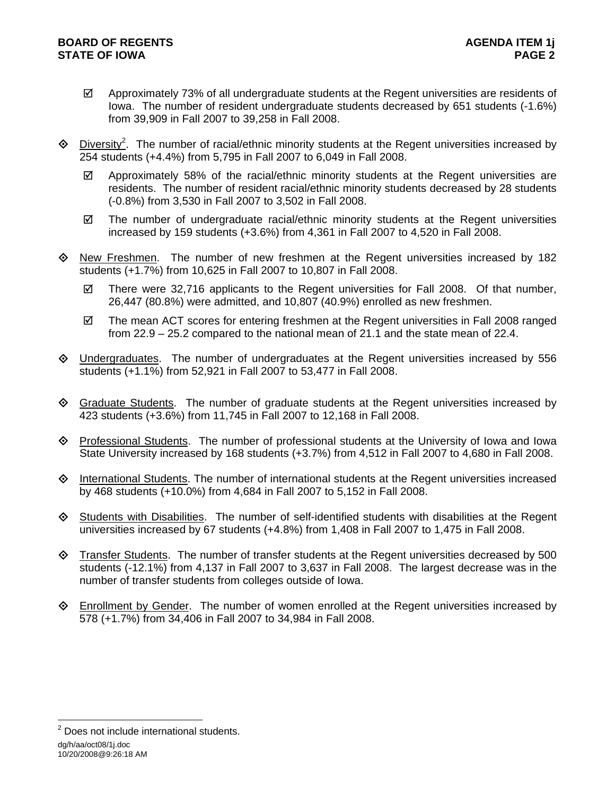- $\boxtimes$  Approximately 73% of all undergraduate students at the Regent universities are residents of Iowa. The number of resident undergraduate students decreased by 651 students (-1.6%) from 39,909 in Fall 2007 to 39,258 in Fall 2008.
- $\Diamond$  Diversity<sup>2</sup>. The number of racial/ethnic minority students at the Regent universities increased by 254 students (+4.4%) from 5,795 in Fall 2007 to 6,049 in Fall 2008.
	- $\boxtimes$  Approximately 58% of the racial/ethnic minority students at the Regent universities are residents. The number of resident racial/ethnic minority students decreased by 28 students (-0.8%) from 3,530 in Fall 2007 to 3,502 in Fall 2008.
	- $\boxtimes$  The number of undergraduate racial/ethnic minority students at the Regent universities increased by 159 students (+3.6%) from 4,361 in Fall 2007 to 4,520 in Fall 2008.
- $\Diamond$  New Freshmen. The number of new freshmen at the Regent universities increased by 182 students (+1.7%) from 10,625 in Fall 2007 to 10,807 in Fall 2008.
	- $\boxtimes$  There were 32,716 applicants to the Regent universities for Fall 2008. Of that number, 26,447 (80.8%) were admitted, and 10,807 (40.9%) enrolled as new freshmen.
	- $\boxtimes$  The mean ACT scores for entering freshmen at the Regent universities in Fall 2008 ranged from 22.9 – 25.2 compared to the national mean of 21.1 and the state mean of 22.4.
- Undergraduates. The number of undergraduates at the Regent universities increased by 556 students (+1.1%) from 52,921 in Fall 2007 to 53,477 in Fall 2008.
- Graduate Students. The number of graduate students at the Regent universities increased by 423 students (+3.6%) from 11,745 in Fall 2007 to 12,168 in Fall 2008.
- Professional Students. The number of professional students at the University of Iowa and Iowa State University increased by 168 students (+3.7%) from 4,512 in Fall 2007 to 4,680 in Fall 2008.
- $\Diamond$  International Students. The number of international students at the Regent universities increased by 468 students (+10.0%) from 4,684 in Fall 2007 to 5,152 in Fall 2008.
- $\Diamond$  Students with Disabilities. The number of self-identified students with disabilities at the Regent universities increased by 67 students (+4.8%) from 1,408 in Fall 2007 to 1,475 in Fall 2008.
- $\Diamond$  Transfer Students. The number of transfer students at the Regent universities decreased by 500 students (-12.1%) from 4,137 in Fall 2007 to 3,637 in Fall 2008. The largest decrease was in the number of transfer students from colleges outside of Iowa.
- Enrollment by Gender. The number of women enrolled at the Regent universities increased by 578 (+1.7%) from 34,406 in Fall 2007 to 34,984 in Fall 2008.

dg/h/aa/oct08/1j.doc 10/20/2008@9:26:18 AM

l

<sup>&</sup>lt;sup>2</sup> Does not include international students.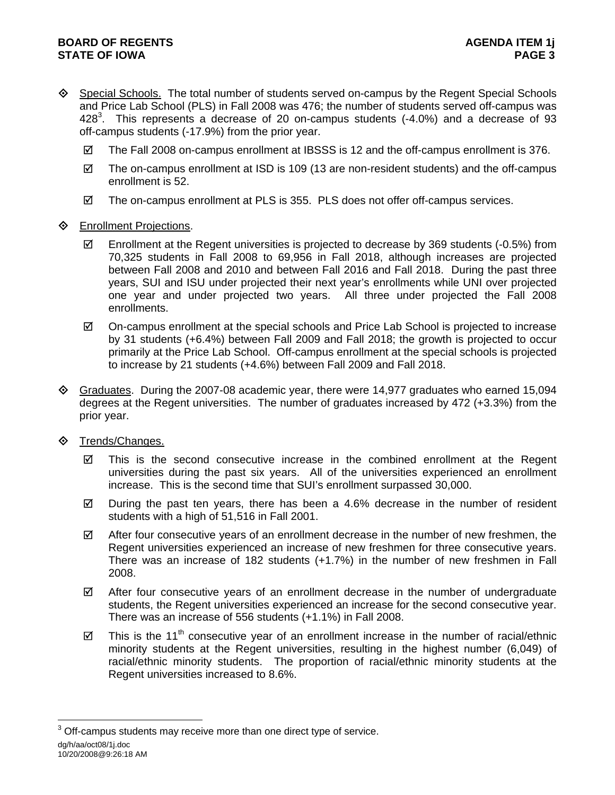- Special Schools. The total number of students served on-campus by the Regent Special Schools and Price Lab School (PLS) in Fall 2008 was 476; the number of students served off-campus was 428<sup>3</sup>. This represents a decrease of 20 on-campus students (-4.0%) and a decrease of 93 off-campus students (-17.9%) from the prior year.
	- $\boxtimes$  The Fall 2008 on-campus enrollment at IBSSS is 12 and the off-campus enrollment is 376.
	- $\boxtimes$  The on-campus enrollment at ISD is 109 (13 are non-resident students) and the off-campus enrollment is 52.
	- $\boxtimes$  The on-campus enrollment at PLS is 355. PLS does not offer off-campus services.
- **♦** Enrollment Projections.
	- $\boxtimes$  Enrollment at the Regent universities is projected to decrease by 369 students (-0.5%) from 70,325 students in Fall 2008 to 69,956 in Fall 2018, although increases are projected between Fall 2008 and 2010 and between Fall 2016 and Fall 2018. During the past three years, SUI and ISU under projected their next year's enrollments while UNI over projected one year and under projected two years. All three under projected the Fall 2008 enrollments.
	- $\boxtimes$  On-campus enrollment at the special schools and Price Lab School is projected to increase by 31 students (+6.4%) between Fall 2009 and Fall 2018; the growth is projected to occur primarily at the Price Lab School. Off-campus enrollment at the special schools is projected to increase by 21 students (+4.6%) between Fall 2009 and Fall 2018.
- $\Diamond$  Graduates. During the 2007-08 academic year, there were 14,977 graduates who earned 15,094 degrees at the Regent universities. The number of graduates increased by 472 (+3.3%) from the prior year.
- ◆ Trends/Changes.
	- $\boxtimes$  This is the second consecutive increase in the combined enrollment at the Regent universities during the past six years. All of the universities experienced an enrollment increase. This is the second time that SUI's enrollment surpassed 30,000.
	- $\boxtimes$  During the past ten years, there has been a 4.6% decrease in the number of resident students with a high of 51,516 in Fall 2001.
	- $\boxtimes$  After four consecutive years of an enrollment decrease in the number of new freshmen, the Regent universities experienced an increase of new freshmen for three consecutive years. There was an increase of 182 students (+1.7%) in the number of new freshmen in Fall 2008.
	- $\boxtimes$  After four consecutive years of an enrollment decrease in the number of undergraduate students, the Regent universities experienced an increase for the second consecutive year. There was an increase of 556 students (+1.1%) in Fall 2008.
	- $\boxtimes$  This is the 11<sup>th</sup> consecutive year of an enrollment increase in the number of racial/ethnic minority students at the Regent universities, resulting in the highest number (6,049) of racial/ethnic minority students. The proportion of racial/ethnic minority students at the Regent universities increased to 8.6%.

dg/h/aa/oct08/1j.doc 10/20/2008@9:26:18 AM l  $3$  Off-campus students may receive more than one direct type of service.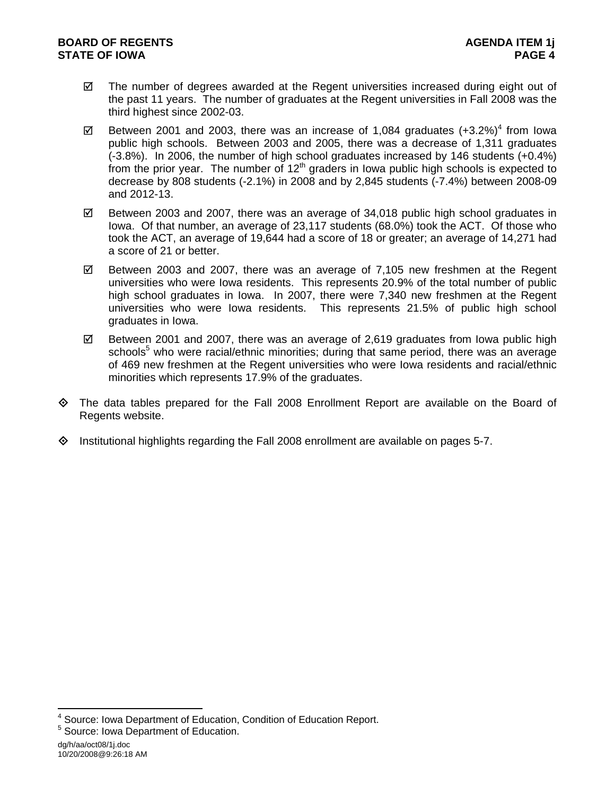- $\boxtimes$  The number of degrees awarded at the Regent universities increased during eight out of the past 11 years. The number of graduates at the Regent universities in Fall 2008 was the third highest since 2002-03.
- $\boxtimes$  Between 2001 and 2003, there was an increase of 1,084 graduates (+3.2%)<sup>4</sup> from lowa public high schools. Between 2003 and 2005, there was a decrease of 1,311 graduates (-3.8%). In 2006, the number of high school graduates increased by 146 students (+0.4%) from the prior year. The number of  $12<sup>th</sup>$  graders in lowa public high schools is expected to decrease by 808 students (-2.1%) in 2008 and by 2,845 students (-7.4%) between 2008-09 and 2012-13.
- $\boxtimes$  Between 2003 and 2007, there was an average of 34,018 public high school graduates in Iowa. Of that number, an average of 23,117 students (68.0%) took the ACT. Of those who took the ACT, an average of 19,644 had a score of 18 or greater; an average of 14,271 had a score of 21 or better.
- $\boxtimes$  Between 2003 and 2007, there was an average of 7,105 new freshmen at the Regent universities who were Iowa residents. This represents 20.9% of the total number of public high school graduates in Iowa. In 2007, there were 7,340 new freshmen at the Regent universities who were Iowa residents. This represents 21.5% of public high school graduates in Iowa.
- $\boxtimes$  Between 2001 and 2007, there was an average of 2,619 graduates from lowa public high schools<sup>5</sup> who were racial/ethnic minorities; during that same period, there was an average of 469 new freshmen at the Regent universities who were Iowa residents and racial/ethnic minorities which represents 17.9% of the graduates.
- The data tables prepared for the Fall 2008 Enrollment Report are available on the Board of Regents website.
- Institutional highlights regarding the Fall 2008 enrollment are available on pages 5-7.

<sup>4&</sup>lt;br><sup>4</sup> Source: Iowa Department of Education, Condition of Education Report.

<sup>&</sup>lt;sup>5</sup> Source: Iowa Department of Education.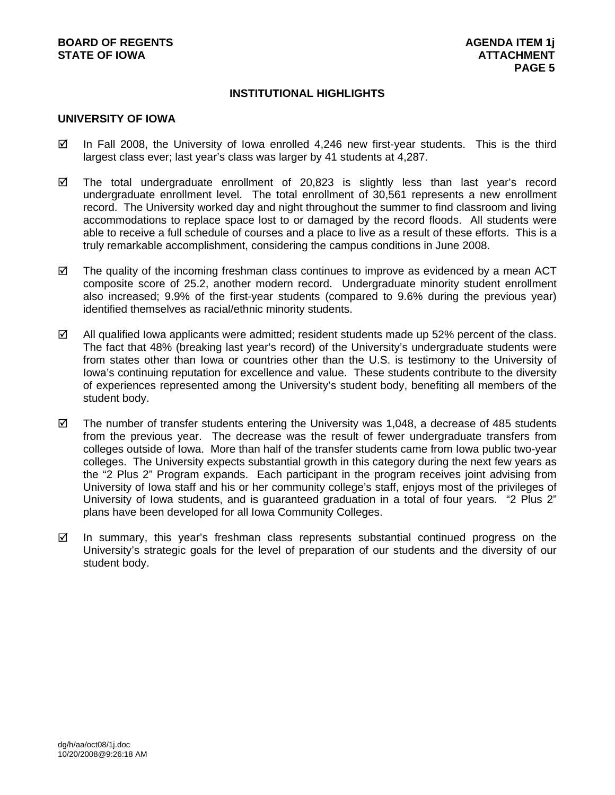# **INSTITUTIONAL HIGHLIGHTS**

#### **UNIVERSITY OF IOWA**

- $\boxtimes$  In Fall 2008, the University of Iowa enrolled 4,246 new first-year students. This is the third largest class ever; last year's class was larger by 41 students at 4,287.
- $\boxtimes$  The total undergraduate enrollment of 20,823 is slightly less than last year's record undergraduate enrollment level. The total enrollment of 30,561 represents a new enrollment record. The University worked day and night throughout the summer to find classroom and living accommodations to replace space lost to or damaged by the record floods. All students were able to receive a full schedule of courses and a place to live as a result of these efforts. This is a truly remarkable accomplishment, considering the campus conditions in June 2008.
- $\boxtimes$  The quality of the incoming freshman class continues to improve as evidenced by a mean ACT composite score of 25.2, another modern record. Undergraduate minority student enrollment also increased; 9.9% of the first-year students (compared to 9.6% during the previous year) identified themselves as racial/ethnic minority students.
- $\boxtimes$  All qualified Iowa applicants were admitted; resident students made up 52% percent of the class. The fact that 48% (breaking last year's record) of the University's undergraduate students were from states other than Iowa or countries other than the U.S. is testimony to the University of Iowa's continuing reputation for excellence and value. These students contribute to the diversity of experiences represented among the University's student body, benefiting all members of the student body.
- $\boxtimes$  The number of transfer students entering the University was 1,048, a decrease of 485 students from the previous year. The decrease was the result of fewer undergraduate transfers from colleges outside of Iowa. More than half of the transfer students came from Iowa public two-year colleges. The University expects substantial growth in this category during the next few years as the "2 Plus 2" Program expands. Each participant in the program receives joint advising from University of Iowa staff and his or her community college's staff, enjoys most of the privileges of University of Iowa students, and is guaranteed graduation in a total of four years. "2 Plus 2" plans have been developed for all Iowa Community Colleges.
- $\boxtimes$  In summary, this year's freshman class represents substantial continued progress on the University's strategic goals for the level of preparation of our students and the diversity of our student body.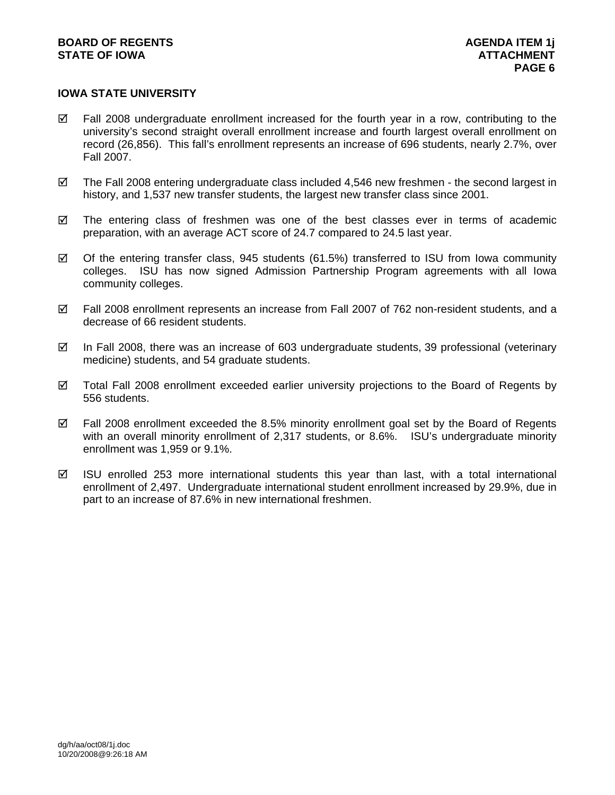# **IOWA STATE UNIVERSITY**

- $\boxtimes$  Fall 2008 undergraduate enrollment increased for the fourth year in a row, contributing to the university's second straight overall enrollment increase and fourth largest overall enrollment on record (26,856). This fall's enrollment represents an increase of 696 students, nearly 2.7%, over Fall 2007.
- $\boxtimes$  The Fall 2008 entering undergraduate class included 4,546 new freshmen the second largest in history, and 1,537 new transfer students, the largest new transfer class since 2001.
- $\boxtimes$  The entering class of freshmen was one of the best classes ever in terms of academic preparation, with an average ACT score of 24.7 compared to 24.5 last year.
- $\boxtimes$  Of the entering transfer class, 945 students (61.5%) transferred to ISU from Iowa community colleges. ISU has now signed Admission Partnership Program agreements with all Iowa community colleges.
- $\boxtimes$  Fall 2008 enrollment represents an increase from Fall 2007 of 762 non-resident students, and a decrease of 66 resident students.
- $\boxtimes$  In Fall 2008, there was an increase of 603 undergraduate students, 39 professional (veterinary medicine) students, and 54 graduate students.
- $\boxtimes$  Total Fall 2008 enrollment exceeded earlier university projections to the Board of Regents by 556 students.
- $\boxtimes$  Fall 2008 enrollment exceeded the 8.5% minority enrollment goal set by the Board of Regents with an overall minority enrollment of 2,317 students, or 8.6%. ISU's undergraduate minority enrollment was 1,959 or 9.1%.
- $\boxtimes$  ISU enrolled 253 more international students this year than last, with a total international enrollment of 2,497. Undergraduate international student enrollment increased by 29.9%, due in part to an increase of 87.6% in new international freshmen.